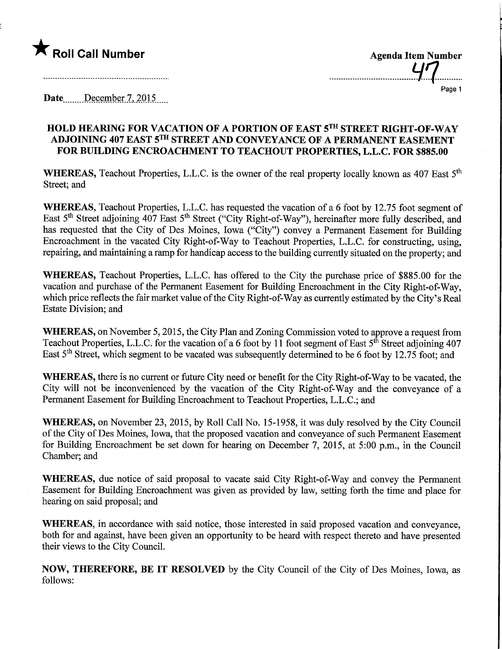

| <b>Agenda Item Number</b><br><b>LIFT</b> |  |
|------------------------------------------|--|
|                                          |  |

......

Page 1

Date<sub>....</sub>...December 7, 2015.

## HOLD HEARING FOR VACATION OF A PORTION OF EAST 5TH STREET RIGHT-OF-WAY ADJOINING 407 EAST 5™ STREET AND CONVEYANCE OF A PERMANENT EASEMENT FOR BUILDING ENCROACHMENT TO TEACHOUT PROPERTIES, L.L.C. FOR \$885.00

WHEREAS, Teachout Properties, L.L.C. is the owner of the real property locally known as 407 East  $5<sup>th</sup>$ Street; and

WHEREAS, Teachout Properties, L.L.C. has requested the vacation of a 6 foot by 12.75 foot segment of East 5<sup>th</sup> Street adjoining 407 East 5<sup>th</sup> Street ("City Right-of-Way"), hereinafter more fully described, and has requested that the City of Des Moines, Iowa ("City") convey a Permanent Easement for Building Encroachment in the vacated City Right-of-Way to Teachout Properties, L.L.C. for constructing, using, repairing, and maintaining a ramp for handicap access to the building currently situated on the property; and

WHEREAS, Teachout Properties, L.L.C. has offered to the City the purchase price of \$885.00 for the vacation and purchase of the Permanent Easement for Building Encroachment in the City Right-of-Way, which price reflects the fair market value of the City Right-of-Way as currently estimated by the City's Real Estate Division; and

WHEREAS, on November 5,2015, the City Plan and Zoning Commission voted to approve a request from Teachout Properties, L.L.C. for the vacation of a 6 foot by 11 foot segment of East 5<sup>th</sup> Street adjoining 407 East 5th Street, which segment to be vacated was subsequently determined to be 6 foot by 12.75 foot; and

WHEREAS, there is no current or future City need or benefit for the City Right-of-Way to be vacated, the City will not be inconvenienced by the vacation of the City Right-of-Way and the conveyance of a Permanent Easement for Building Encroachment to Teachout Properties, L.L.C.; and

WHEREAS, on November 23, 2015, by Roll Call No. 15-1958, it was duly resolved by the City Council of the City of Des Moines, Iowa, that the proposed vacation and conveyance of such Permanent Easement for Building Encroachment be set down for hearing on December 7, 2015, at 5:00 p.m., in the Council Chamber; and

WHEREAS, due notice of said proposal to vacate said City Right-of-Way and convey the Permanent Easement for Building Encroachment was given as provided by law, setting forth the time and place for hearing on said proposal; and

WHEREAS, in accordance with said notice, those interested in said proposed vacation and conveyance, both for and against, have been given an opportunity to be heard with respect thereto and have presented their views to the City Council.

NOW, THEREFORE, BE IT RESOLVED by the City Council of the City of Des Moines, Iowa, as follows: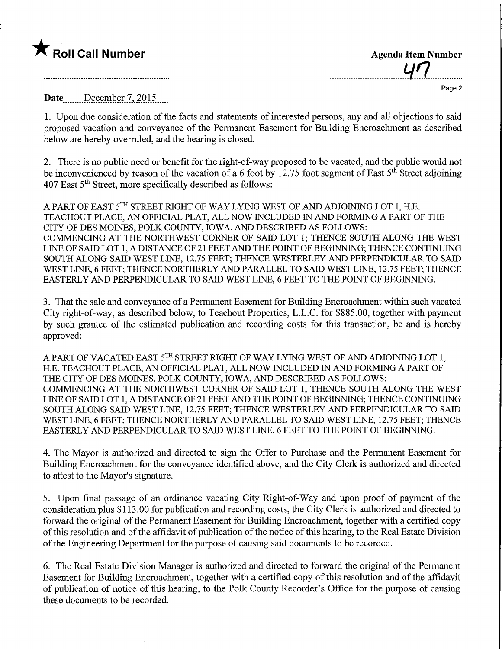## $\bigstar$  Roll Call Number

| <b>Agenda Item Number</b> |
|---------------------------|
| 47                        |
| Page 2                    |

Date......December 7, 2015....

1. Upon due consideration of the facts and statements of interested persons, any and all objections to said proposed vacation and conveyance of the Permanent Easement for Building Encroachment as described below are hereby overruled, and the hearing is closed.

2. There is no public need or benefit for the right-of-way proposed to be vacated, and the public would not be inconvenienced by reason of the vacation of a 6 foot by 12.75 foot segment of East  $5<sup>th</sup>$  Street adjoining  $407$  East  $5<sup>th</sup>$  Street, more specifically described as follows:

A PART OF EAST 5TH STREET RIGHT OF WAY LYING WEST OF AND ADJOINING LOT 1, H.E. TEACHOUT PLACE, AN OFFICIAL PLAT, ALL NOW INCLUDED IN AND FORMING A PART OF THE CITY OF DES MOINES, POLK COUNTY, IOWA, AND DESCRIBED AS FOLLOWS: COMMENCING AT THE NORTHWEST CORNER OF SAID LOT 1; THENCE SOUTH ALONG THE WEST LINE OF SAID LOT 1, A DISTANCE OF 21 FEET AND THE POINT OF BEGINNING; THENCE CONTINUING SOUTH ALONG SAID WEST LINE, 12.75 FEET; THENCE WESTERLEY AND PERPENDICULAR TO SAID WEST LINE, 6 FEET; THENCE NORTHERLY AND PARALLEL TO SAID WEST LINE, 12.75 FEET; THENCE EASTERLY AND PERPENDICULAR TO SAID WEST LINE, 6 FEET TO THE POINT OF BEGINNING.

3. That the sale and conveyance of a Permanent Easement for Building Encroachment within such vacated City right-of-way, as described below, to Teachout Properties, L.L.C. for \$885.00, together with payment by such grantee of the estimated publication and recording costs for this transaction, be and is hereby approved:

A PART OF VACATED EAST 5™ STREET RIGHT OF WAY LYING WEST OF AND ADJOINING LOT 1, H.E. TEACHOUT PLACE, AN OFFICIAL PLAT, ALL NOW INCLUDED IN AND FORMING A PART OF THE CITY OF DES MOINES, POLK COUNTY, IOWA, AND DESCRIBED AS FOLLOWS: COMMENCING AT THE NORTHWEST CORNER OF SAID LOT 1; THENCE SOUTH ALONG THE WEST LINE OF SAID LOT 1, A DISTANCE OF 21 FEET AND THE POINT OF BEGINNING; THENCE CONTINUING SOUTH ALONG SAID WEST LINE, 12.75 FEET; THENCE WESTERLEY AND PERPENDICULAR TO SAID WEST LINE, 6 FEET; THENCE NORTHERLY AND PARALLEL TO SAID WEST LINE, 12.75 FEET; THENCE EASTERLY AND PERPENDICULAR TO SAID WEST LINE, 6 FEET TO THE POINT OF BEGINNING.

4. The Mayor is authorized and directed to sign the Offer to Purchase and the Permanent Easement for Building Encroachment for the conveyance identified above, and the City Clerk is authorized and directed to attest to the Mayor's signature.

5. Upon final passage of an ordinance vacating City Right-of-Way and upon proof of payment of the consideration plus \$113.00 for publication and recording costs, the City Clerk is authorized and directed to forward the original of the Permanent Easement for Building Encroachment, together with a certified copy of this resolution and of the affidavit of publication of the notice of this hearing, to the Real Estate Division of the Engineering Department for the purpose of causing said documents to be recorded.

6. The Real Estate Division Manager is authorized and directed to forward the original of the Permanent Easement for Building Encroachment, together with a certified copy of this resolution and of the affidavit of publication of notice of this hearing, to the Polk County Recorder's Office for the purpose of causing these documents to be recorded.